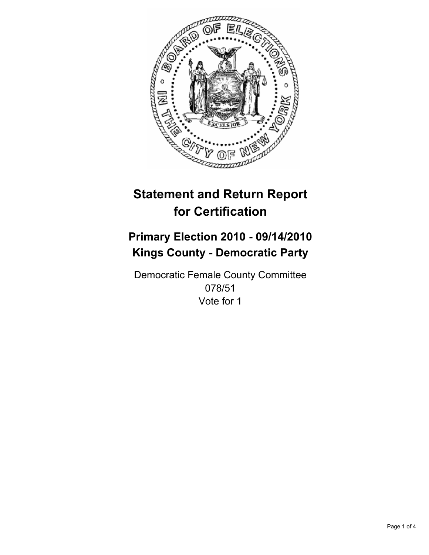

# **Primary Election 2010 - 09/14/2010 Kings County - Democratic Party**

Democratic Female County Committee 078/51 Vote for 1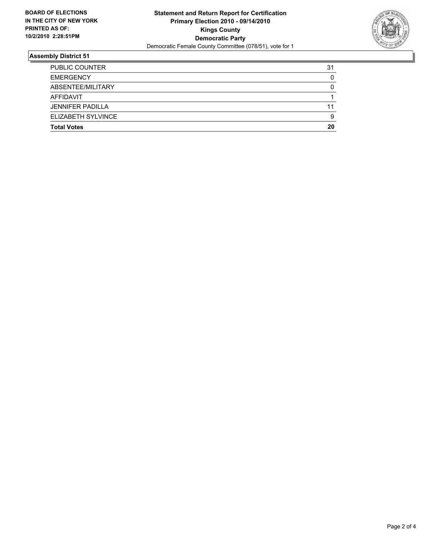

| <b>Total Votes</b>      | 20 |
|-------------------------|----|
| ELIZABETH SYLVINCE      | 9  |
| <b>JENNIFER PADILLA</b> | 11 |
| AFFIDAVIT               |    |
| ABSENTEE/MILITARY       | 0  |
| <b>EMERGENCY</b>        | 0  |
| <b>PUBLIC COUNTER</b>   | 31 |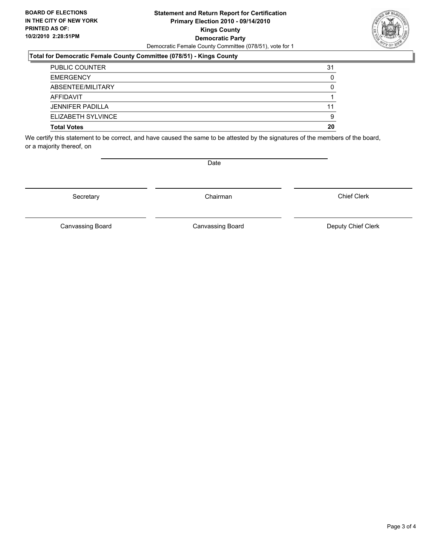#### **Statement and Return Report for Certification Primary Election 2010 - 09/14/2010 Kings County Democratic Party** Democratic Female County Committee (078/51), vote for 1

### **Total for Democratic Female County Committee (078/51) - Kings County**

| <b>Total Votes</b>      | 20 |
|-------------------------|----|
| ELIZABETH SYLVINCE      | 9  |
| <b>JENNIFER PADILLA</b> | 11 |
| AFFIDAVIT               |    |
| ABSENTEE/MILITARY       | 0  |
| <b>EMERGENCY</b>        | 0  |
| <b>PUBLIC COUNTER</b>   | 31 |

We certify this statement to be correct, and have caused the same to be attested by the signatures of the members of the board, or a majority thereof, on

Secretary **Chairman** 

Canvassing Board **Canvassing Board** Canvassing Board **Deputy Chief Clerk** 

Canvassing Board

Chief Clerk



Date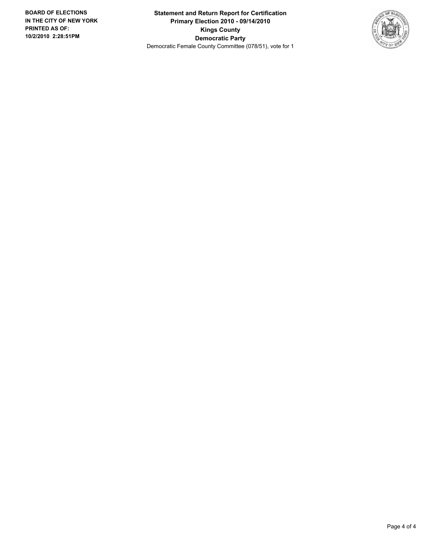**Statement and Return Report for Certification Primary Election 2010 - 09/14/2010 Kings County Democratic Party** Democratic Female County Committee (078/51), vote for 1

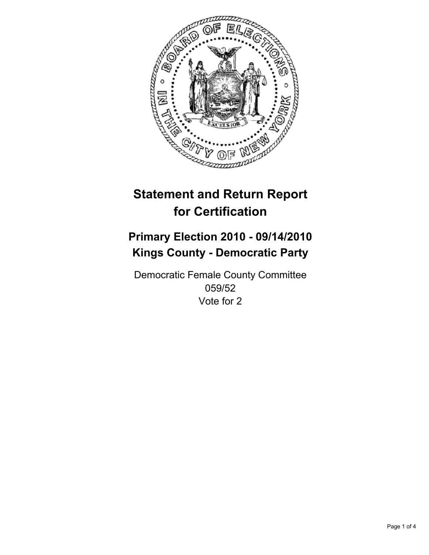

# **Primary Election 2010 - 09/14/2010 Kings County - Democratic Party**

Democratic Female County Committee 059/52 Vote for 2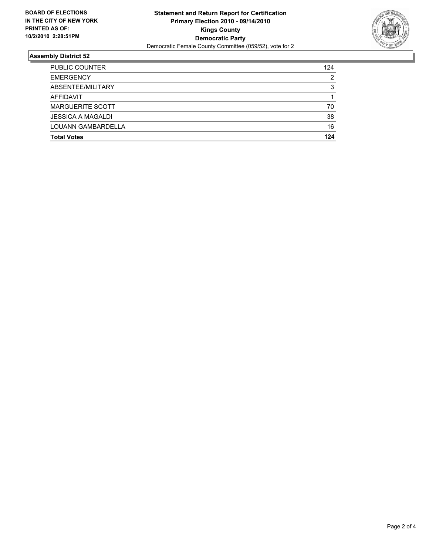

| <b>Total Votes</b>       | 124 |
|--------------------------|-----|
| LOUANN GAMBARDELLA       | 16  |
| <b>JESSICA A MAGALDI</b> | 38  |
| <b>MARGUERITE SCOTT</b>  | 70  |
| AFFIDAVIT                |     |
| ABSENTEE/MILITARY        | 3   |
| <b>EMERGENCY</b>         | 2   |
| <b>PUBLIC COUNTER</b>    | 124 |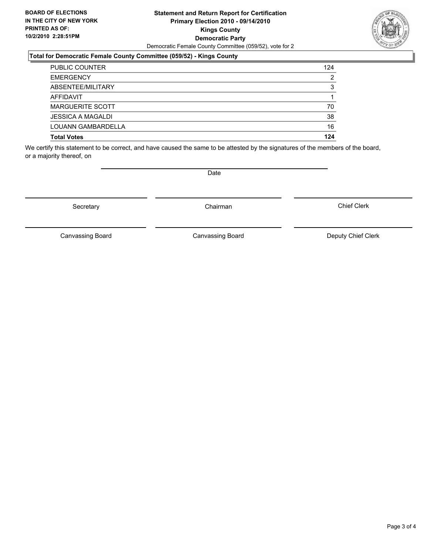#### **Statement and Return Report for Certification Primary Election 2010 - 09/14/2010 Kings County Democratic Party** Democratic Female County Committee (059/52), vote for 2

## **Total for Democratic Female County Committee (059/52) - Kings County**

| <b>PUBLIC COUNTER</b>    | 124 |
|--------------------------|-----|
| <b>EMERGENCY</b>         | 2   |
| ABSENTEE/MILITARY        | 3   |
| <b>AFFIDAVIT</b>         |     |
| <b>MARGUERITE SCOTT</b>  | 70  |
| <b>JESSICA A MAGALDI</b> | 38  |
| LOUANN GAMBARDELLA       | 16  |
| <b>Total Votes</b>       | 124 |

We certify this statement to be correct, and have caused the same to be attested by the signatures of the members of the board, or a majority thereof, on

Secretary **Chairman** 

Canvassing Board

Canvassing Board Canvassing Board Canvassing Canvassing Board Deputy Chief Clerk

Chief Clerk

Page 3 of 4



**Date**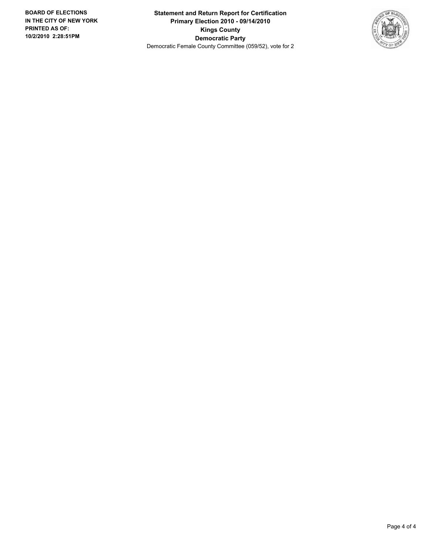**Statement and Return Report for Certification Primary Election 2010 - 09/14/2010 Kings County Democratic Party** Democratic Female County Committee (059/52), vote for 2

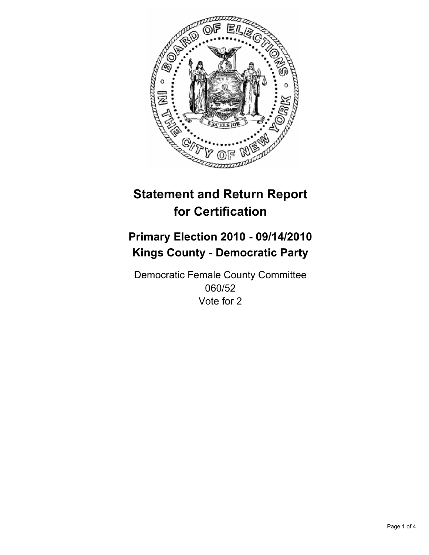

# **Primary Election 2010 - 09/14/2010 Kings County - Democratic Party**

Democratic Female County Committee 060/52 Vote for 2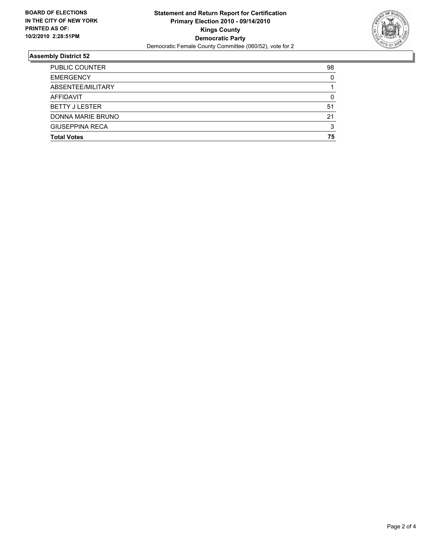

| <b>Total Votes</b>     | 75 |
|------------------------|----|
| <b>GIUSEPPINA RECA</b> | 3  |
| DONNA MARIE BRUNO      | 21 |
| <b>BETTY J LESTER</b>  | 51 |
| <b>AFFIDAVIT</b>       | 0  |
| ABSENTEE/MILITARY      |    |
| <b>EMERGENCY</b>       | 0  |
| <b>PUBLIC COUNTER</b>  | 98 |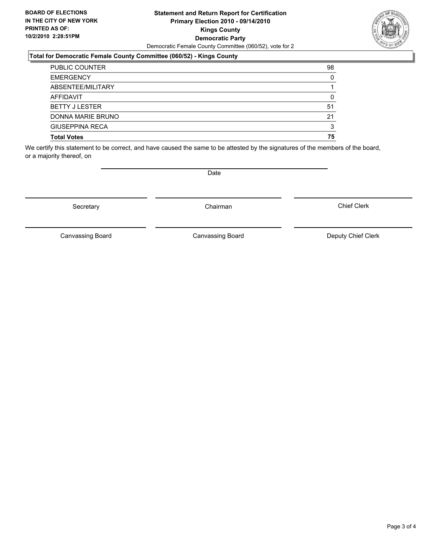#### **Statement and Return Report for Certification Primary Election 2010 - 09/14/2010 Kings County Democratic Party** Democratic Female County Committee (060/52), vote for 2

## **Total for Democratic Female County Committee (060/52) - Kings County**

| <b>PUBLIC COUNTER</b>  | 98 |
|------------------------|----|
| <b>EMERGENCY</b>       | 0  |
| ABSENTEE/MILITARY      |    |
| <b>AFFIDAVIT</b>       | 0  |
| <b>BETTY J LESTER</b>  | 51 |
| DONNA MARIE BRUNO      | 21 |
| <b>GIUSEPPINA RECA</b> | 3  |
| <b>Total Votes</b>     | 75 |

We certify this statement to be correct, and have caused the same to be attested by the signatures of the members of the board, or a majority thereof, on

Secretary **Chairman** 

Canvassing Board Canvassing Board Canvassing Canvassing Board Deputy Chief Clerk

Chief Clerk

Canvassing Board



**Date**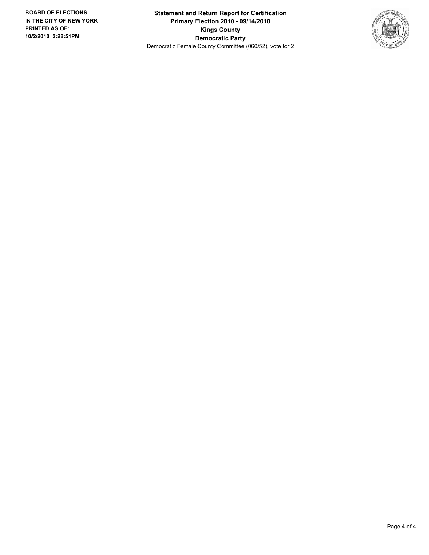**Statement and Return Report for Certification Primary Election 2010 - 09/14/2010 Kings County Democratic Party** Democratic Female County Committee (060/52), vote for 2

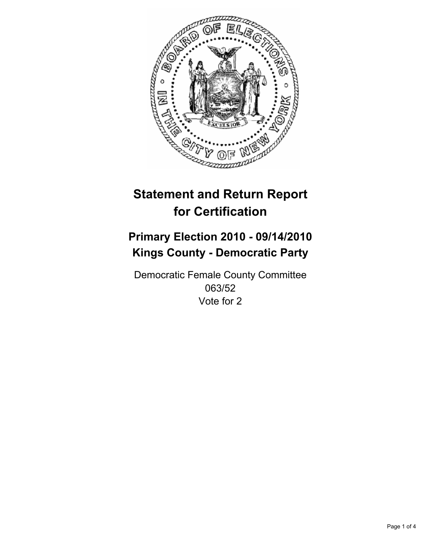

# **Primary Election 2010 - 09/14/2010 Kings County - Democratic Party**

Democratic Female County Committee 063/52 Vote for 2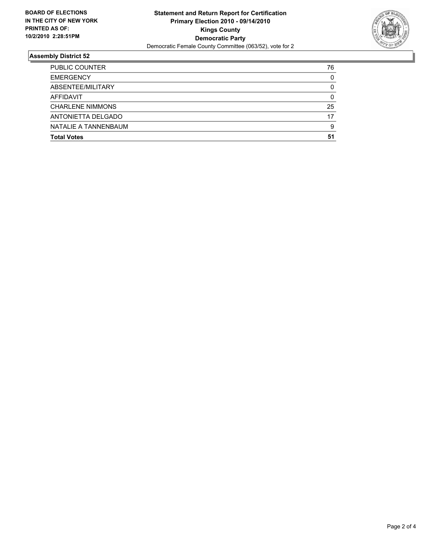

| <b>Total Votes</b>      | 51 |
|-------------------------|----|
| NATALIE A TANNENBAUM    | 9  |
| ANTONIETTA DELGADO      | 17 |
| <b>CHARLENE NIMMONS</b> | 25 |
| <b>AFFIDAVIT</b>        | 0  |
| ABSENTEE/MILITARY       | 0  |
| <b>EMERGENCY</b>        | 0  |
| <b>PUBLIC COUNTER</b>   | 76 |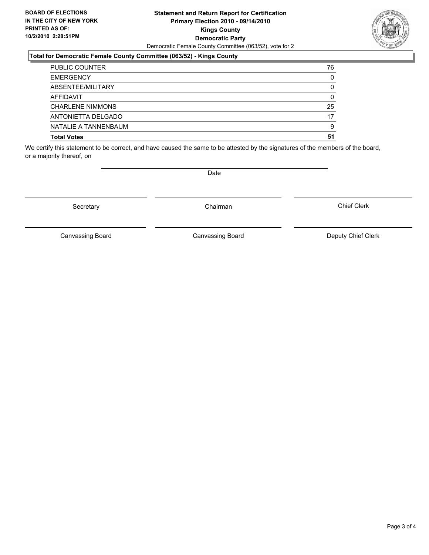#### **Statement and Return Report for Certification Primary Election 2010 - 09/14/2010 Kings County Democratic Party** Democratic Female County Committee (063/52), vote for 2

## **Total for Democratic Female County Committee (063/52) - Kings County**

| <b>PUBLIC COUNTER</b>   | 76 |
|-------------------------|----|
| <b>EMERGENCY</b>        | 0  |
| ABSENTEE/MILITARY       | 0  |
| AFFIDAVIT               | 0  |
| <b>CHARLENE NIMMONS</b> | 25 |
| ANTONIETTA DELGADO      | 17 |
| NATALIE A TANNENBAUM    | 9  |
| <b>Total Votes</b>      | 51 |

We certify this statement to be correct, and have caused the same to be attested by the signatures of the members of the board, or a majority thereof, on

Secretary **Chairman** 

**Date** 

Canvassing Board Canvassing Board Canvassing Canvassing Board Deputy Chief Clerk

Chief Clerk

Canvassing Board

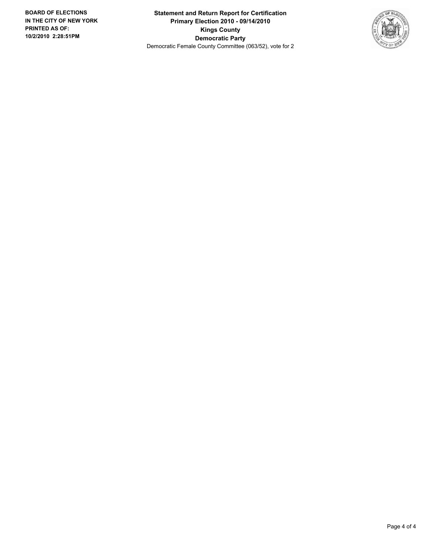**Statement and Return Report for Certification Primary Election 2010 - 09/14/2010 Kings County Democratic Party** Democratic Female County Committee (063/52), vote for 2

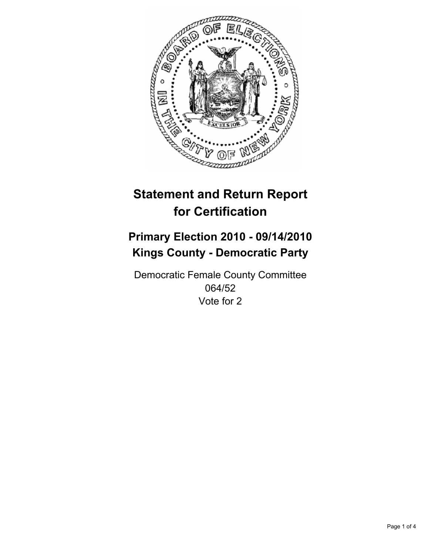

# **Primary Election 2010 - 09/14/2010 Kings County - Democratic Party**

Democratic Female County Committee 064/52 Vote for 2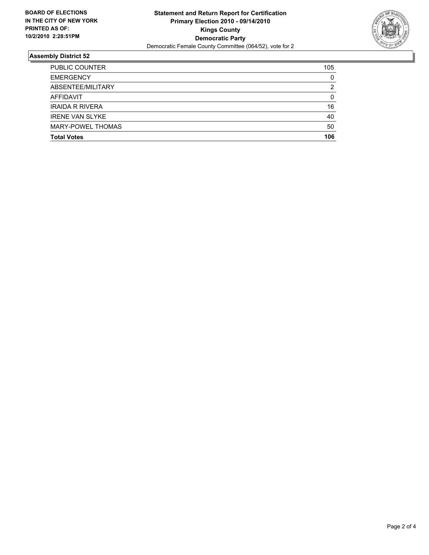

| <b>Total Votes</b>       | 106 |
|--------------------------|-----|
|                          |     |
| <b>MARY-POWEL THOMAS</b> | 50  |
| <b>IRENE VAN SLYKE</b>   | 40  |
| <b>IRAIDA R RIVERA</b>   | 16  |
| <b>AFFIDAVIT</b>         | 0   |
| ABSENTEE/MILITARY        | 2   |
| <b>EMERGENCY</b>         | 0   |
| <b>PUBLIC COUNTER</b>    | 105 |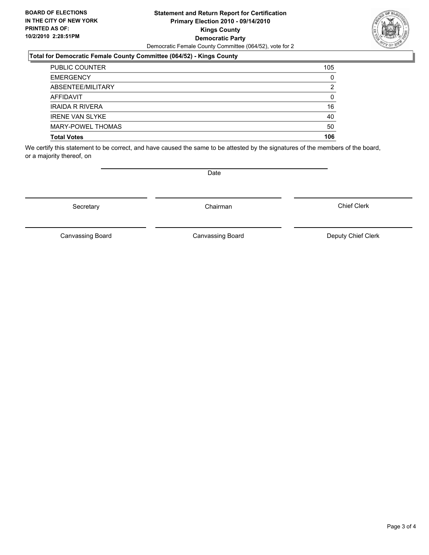#### **Statement and Return Report for Certification Primary Election 2010 - 09/14/2010 Kings County Democratic Party** Democratic Female County Committee (064/52), vote for 2

## **Total for Democratic Female County Committee (064/52) - Kings County**

| <b>PUBLIC COUNTER</b>    | 105 |
|--------------------------|-----|
| <b>EMERGENCY</b>         | 0   |
| ABSENTEE/MILITARY        | 2   |
| AFFIDAVIT                | 0   |
| <b>IRAIDA R RIVERA</b>   | 16  |
| <b>IRENE VAN SLYKE</b>   | 40  |
| <b>MARY-POWEL THOMAS</b> | 50  |
| <b>Total Votes</b>       | 106 |

We certify this statement to be correct, and have caused the same to be attested by the signatures of the members of the board, or a majority thereof, on

Secretary **Chairman** 

Canvassing Board

Canvassing Board Canvassing Board Canvassing Canvassing Board Deputy Chief Clerk

Chief Clerk



**Date**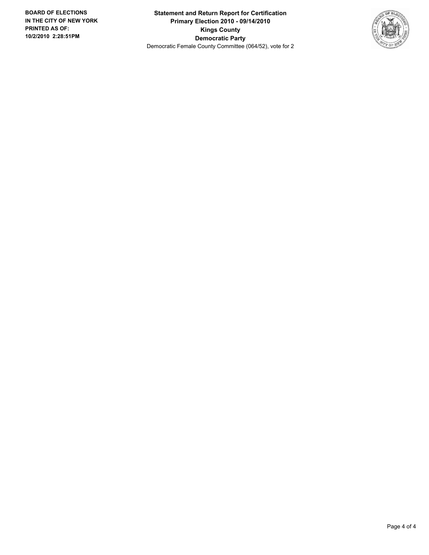**Statement and Return Report for Certification Primary Election 2010 - 09/14/2010 Kings County Democratic Party** Democratic Female County Committee (064/52), vote for 2

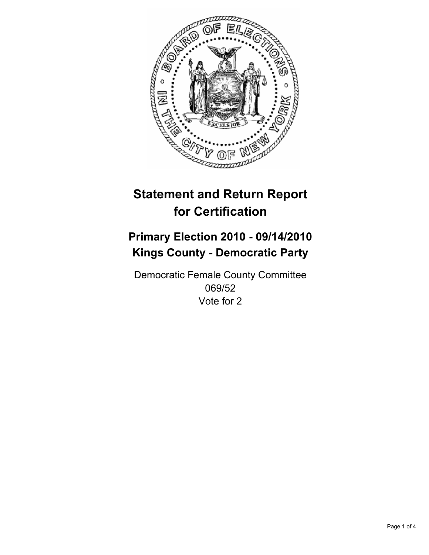

# **Primary Election 2010 - 09/14/2010 Kings County - Democratic Party**

Democratic Female County Committee 069/52 Vote for 2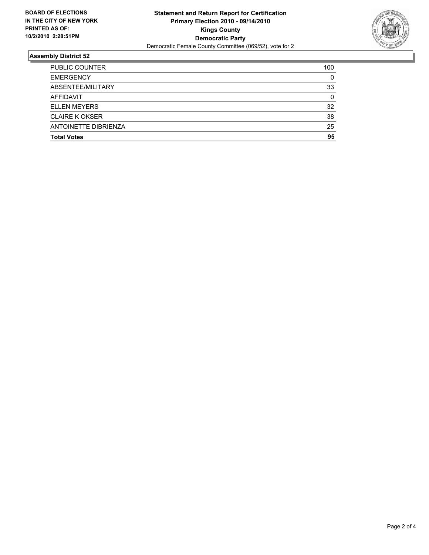

| 25<br>95 |
|----------|
|          |
|          |
| 38       |
| 32       |
| 0        |
| 33       |
| 0        |
| 100      |
|          |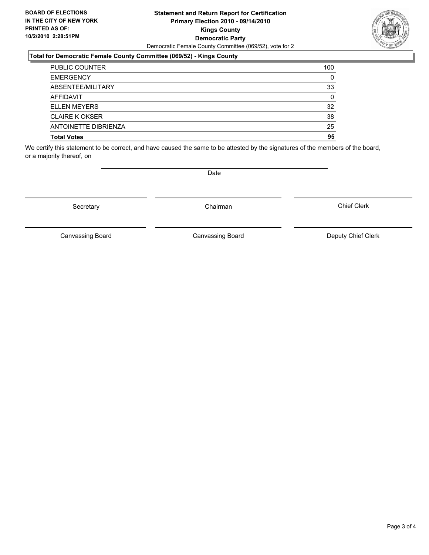#### **Statement and Return Report for Certification Primary Election 2010 - 09/14/2010 Kings County Democratic Party** Democratic Female County Committee (069/52), vote for 2

## **Total for Democratic Female County Committee (069/52) - Kings County**

| <b>PUBLIC COUNTER</b> | 100 |
|-----------------------|-----|
| <b>EMERGENCY</b>      | 0   |
| ABSENTEE/MILITARY     | 33  |
| AFFIDAVIT             | 0   |
| <b>ELLEN MEYERS</b>   | 32  |
| <b>CLAIRE K OKSER</b> | 38  |
| ANTOINETTE DIBRIENZA  | 25  |
| <b>Total Votes</b>    | 95  |

We certify this statement to be correct, and have caused the same to be attested by the signatures of the members of the board, or a majority thereof, on

Secretary **Chairman** 

Canvassing Board

Canvassing Board Canvassing Board Canvassing Canvassing Board Deputy Chief Clerk

Chief Clerk

**Date**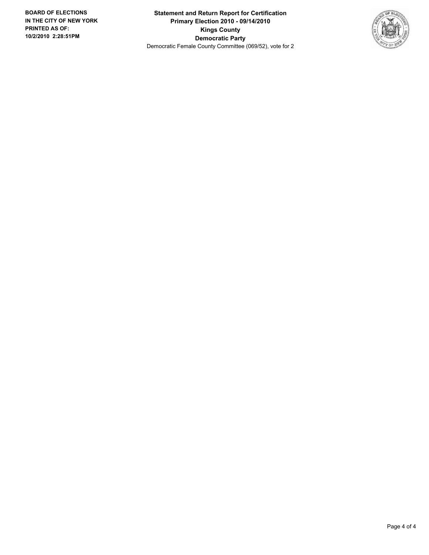**Statement and Return Report for Certification Primary Election 2010 - 09/14/2010 Kings County Democratic Party** Democratic Female County Committee (069/52), vote for 2

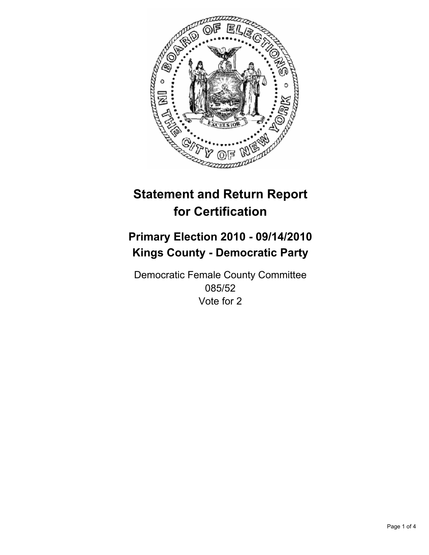

# **Primary Election 2010 - 09/14/2010 Kings County - Democratic Party**

Democratic Female County Committee 085/52 Vote for 2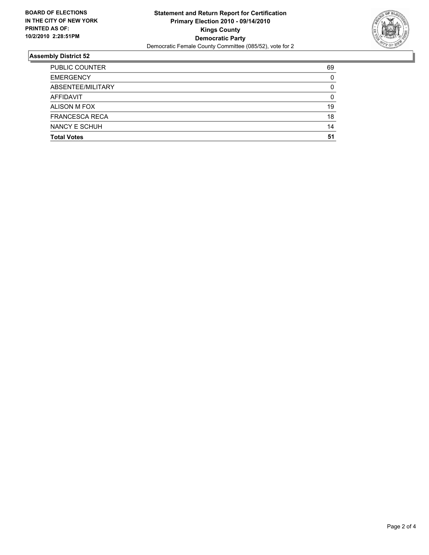

| <b>Total Votes</b>    | 51       |
|-----------------------|----------|
|                       |          |
| NANCY E SCHUH         | 14       |
| <b>FRANCESCA RECA</b> | 18       |
| ALISON M FOX          | 19       |
| <b>AFFIDAVIT</b>      | 0        |
| ABSENTEE/MILITARY     | 0        |
| <b>EMERGENCY</b>      | $\Omega$ |
| <b>PUBLIC COUNTER</b> | 69       |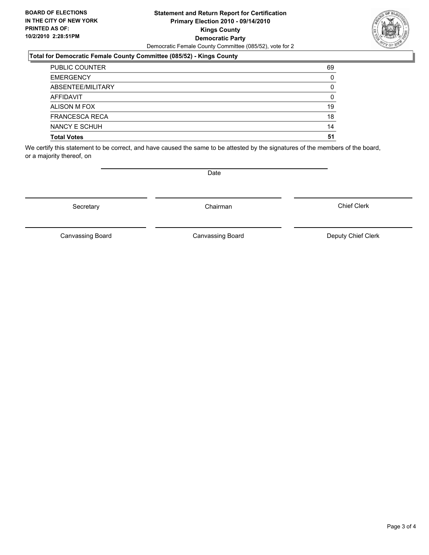#### **Statement and Return Report for Certification Primary Election 2010 - 09/14/2010 Kings County Democratic Party** Democratic Female County Committee (085/52), vote for 2

## **Total for Democratic Female County Committee (085/52) - Kings County**

| <b>PUBLIC COUNTER</b> | 69 |
|-----------------------|----|
| <b>EMERGENCY</b>      | 0  |
| ABSENTEE/MILITARY     | 0  |
| <b>AFFIDAVIT</b>      | 0  |
| ALISON M FOX          | 19 |
| <b>FRANCESCA RECA</b> | 18 |
| NANCY E SCHUH         | 14 |
| <b>Total Votes</b>    | 51 |

We certify this statement to be correct, and have caused the same to be attested by the signatures of the members of the board, or a majority thereof, on

Secretary **Chairman** 

Chief Clerk

Canvassing Board Canvassing Board Canvassing Board Canvassing Canvassing Board Deputy Chief Clerk



**Date**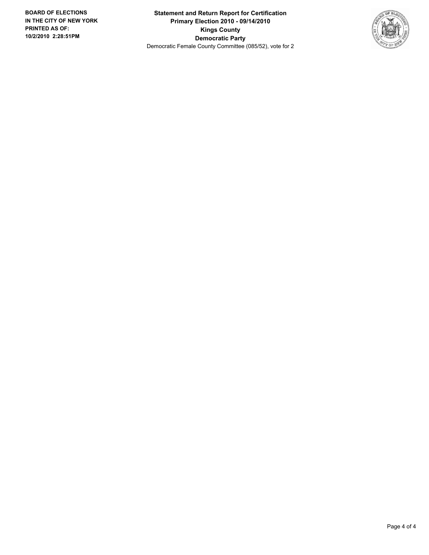**Statement and Return Report for Certification Primary Election 2010 - 09/14/2010 Kings County Democratic Party** Democratic Female County Committee (085/52), vote for 2

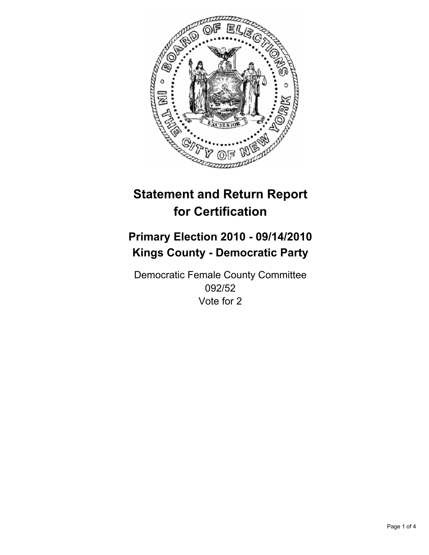

# **Primary Election 2010 - 09/14/2010 Kings County - Democratic Party**

Democratic Female County Committee 092/52 Vote for 2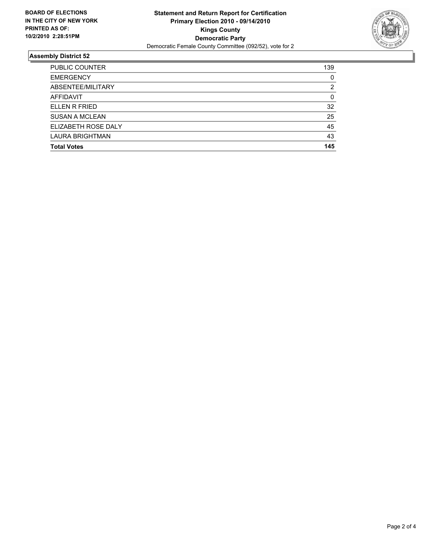

| <b>PUBLIC COUNTER</b>  | 139 |
|------------------------|-----|
| <b>EMERGENCY</b>       | 0   |
| ABSENTEE/MILITARY      | 2   |
| AFFIDAVIT              | 0   |
| ELLEN R FRIED          | 32  |
| <b>SUSAN A MCLEAN</b>  | 25  |
| ELIZABETH ROSE DALY    | 45  |
| <b>LAURA BRIGHTMAN</b> | 43  |
| <b>Total Votes</b>     | 145 |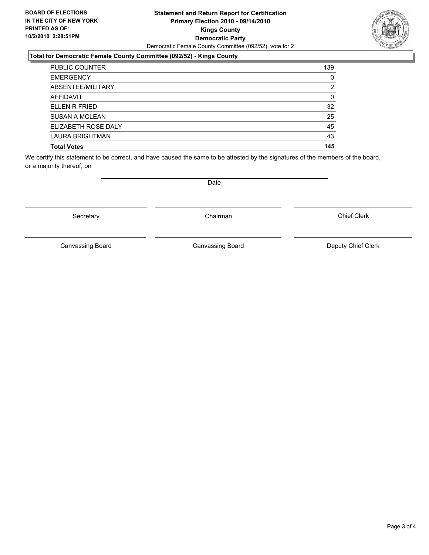#### **Statement and Return Report for Certification Primary Election 2010 - 09/14/2010 Kings County Democratic Party** Democratic Female County Committee (092/52), vote for 2

## **Total for Democratic Female County Committee (092/52) - Kings County**

| <b>PUBLIC COUNTER</b>  | 139 |
|------------------------|-----|
| <b>EMERGENCY</b>       | 0   |
| ABSENTEE/MILITARY      | 2   |
| <b>AFFIDAVIT</b>       | 0   |
| ELLEN R FRIED          | 32  |
| <b>SUSAN A MCLEAN</b>  | 25  |
| ELIZABETH ROSE DALY    | 45  |
| <b>LAURA BRIGHTMAN</b> | 43  |
| <b>Total Votes</b>     | 145 |

We certify this statement to be correct, and have caused the same to be attested by the signatures of the members of the board, or a majority thereof, on

Canvassing Board

Canvassing Board **Canvassing Board** Canvassing Board **Deputy Chief Clerk** 

Chief Clerk



Secretary **Chairman** 

Date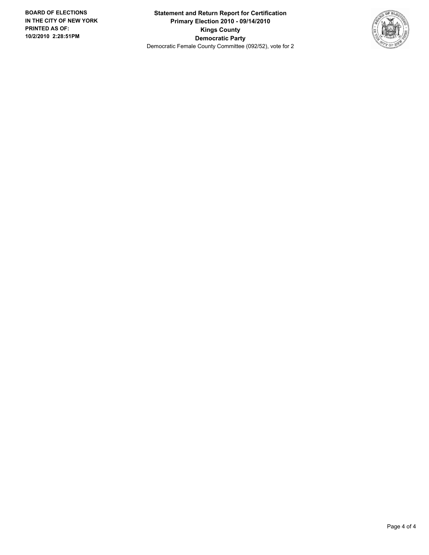**Statement and Return Report for Certification Primary Election 2010 - 09/14/2010 Kings County Democratic Party** Democratic Female County Committee (092/52), vote for 2

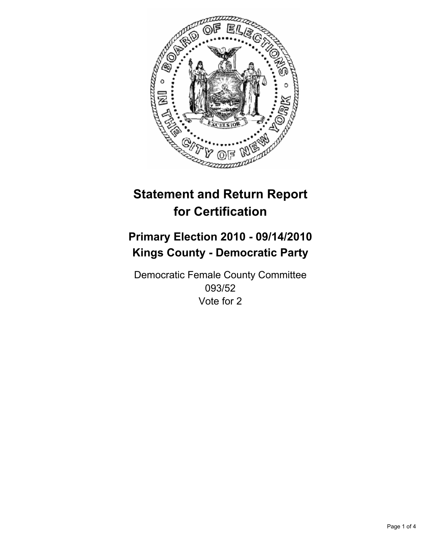

# **Primary Election 2010 - 09/14/2010 Kings County - Democratic Party**

Democratic Female County Committee 093/52 Vote for 2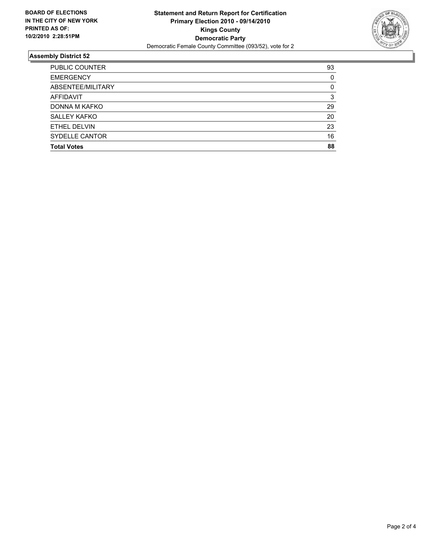

| <b>PUBLIC COUNTER</b> | 93 |
|-----------------------|----|
| <b>EMERGENCY</b>      | 0  |
| ABSENTEE/MILITARY     | 0  |
| AFFIDAVIT             | 3  |
| DONNA M KAFKO         | 29 |
| <b>SALLEY KAFKO</b>   | 20 |
| ETHEL DELVIN          | 23 |
| SYDELLE CANTOR        | 16 |
| <b>Total Votes</b>    | 88 |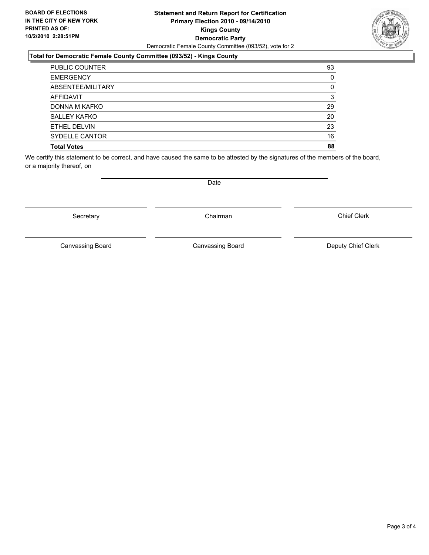#### **Statement and Return Report for Certification Primary Election 2010 - 09/14/2010 Kings County Democratic Party** Democratic Female County Committee (093/52), vote for 2

## **Total for Democratic Female County Committee (093/52) - Kings County**

| <b>PUBLIC COUNTER</b> | 93 |
|-----------------------|----|
| <b>EMERGENCY</b>      | 0  |
| ABSENTEE/MILITARY     | 0  |
| <b>AFFIDAVIT</b>      | 3  |
| DONNA M KAFKO         | 29 |
| <b>SALLEY KAFKO</b>   | 20 |
| ETHEL DELVIN          | 23 |
| SYDELLE CANTOR        | 16 |
| <b>Total Votes</b>    | 88 |

We certify this statement to be correct, and have caused the same to be attested by the signatures of the members of the board, or a majority thereof, on

Secretary **Chairman** 

Date

Canvassing Board

Canvassing Board **Canvassing Board** Canvassing Board **Deputy Chief Clerk** 

Chief Clerk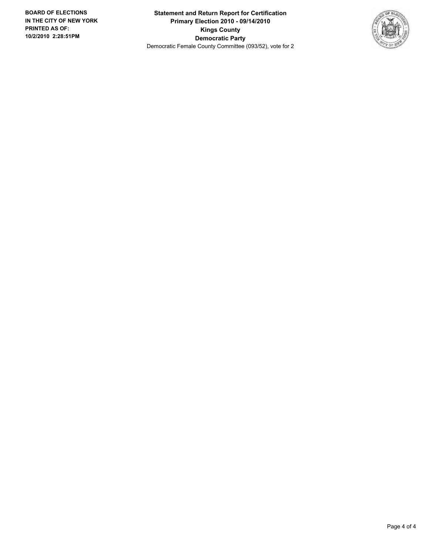**Statement and Return Report for Certification Primary Election 2010 - 09/14/2010 Kings County Democratic Party** Democratic Female County Committee (093/52), vote for 2

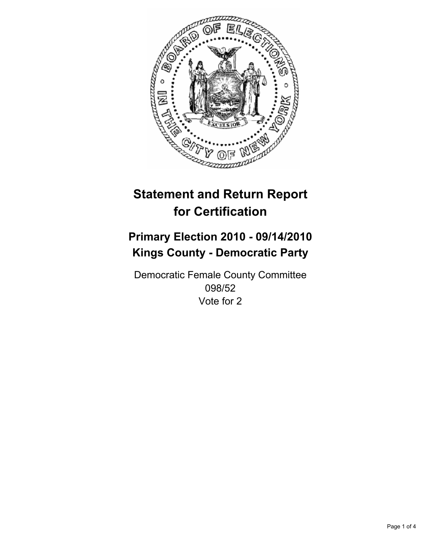

# **Primary Election 2010 - 09/14/2010 Kings County - Democratic Party**

Democratic Female County Committee 098/52 Vote for 2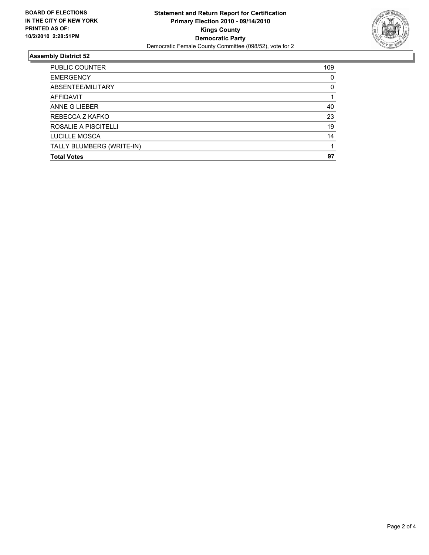

| <b>PUBLIC COUNTER</b>     | 109 |
|---------------------------|-----|
| <b>EMERGENCY</b>          | 0   |
| ABSENTEE/MILITARY         | 0   |
| <b>AFFIDAVIT</b>          |     |
| ANNE G LIEBER             | 40  |
| REBECCA Z KAFKO           | 23  |
| ROSALIE A PISCITELLI      | 19  |
| LUCILLE MOSCA             | 14  |
| TALLY BLUMBERG (WRITE-IN) |     |
| <b>Total Votes</b>        | 97  |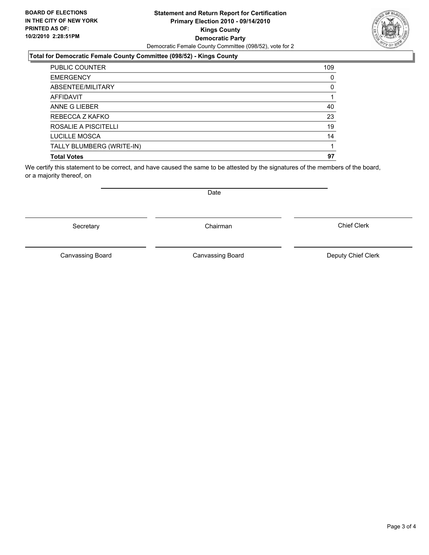#### **Statement and Return Report for Certification Primary Election 2010 - 09/14/2010 Kings County Democratic Party** Democratic Female County Committee (098/52), vote for 2

## **Total for Democratic Female County Committee (098/52) - Kings County**

| <b>PUBLIC COUNTER</b>     | 109 |
|---------------------------|-----|
| <b>EMERGENCY</b>          | 0   |
| ABSENTEE/MILITARY         | 0   |
| <b>AFFIDAVIT</b>          |     |
| ANNE G LIEBER             | 40  |
| REBECCA Z KAFKO           | 23  |
| ROSALIE A PISCITELLI      | 19  |
| LUCILLE MOSCA             | 14  |
| TALLY BLUMBERG (WRITE-IN) |     |
| <b>Total Votes</b>        | 97  |

We certify this statement to be correct, and have caused the same to be attested by the signatures of the members of the board, or a majority thereof, on

Secretary **Chairman** 

Canvassing Board **Canvassing Board** Canvassing Board **Deputy Chief Clerk** 

Canvassing Board

Chief Clerk

Date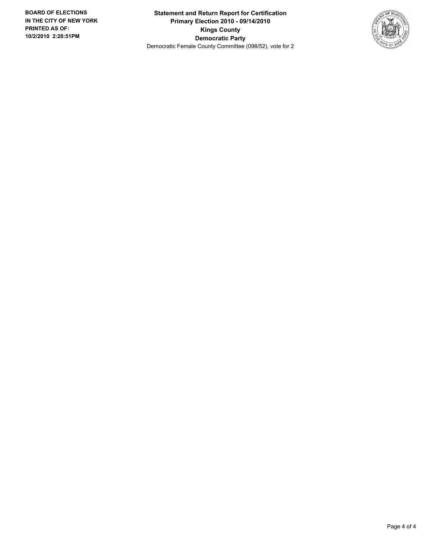**Statement and Return Report for Certification Primary Election 2010 - 09/14/2010 Kings County Democratic Party** Democratic Female County Committee (098/52), vote for 2

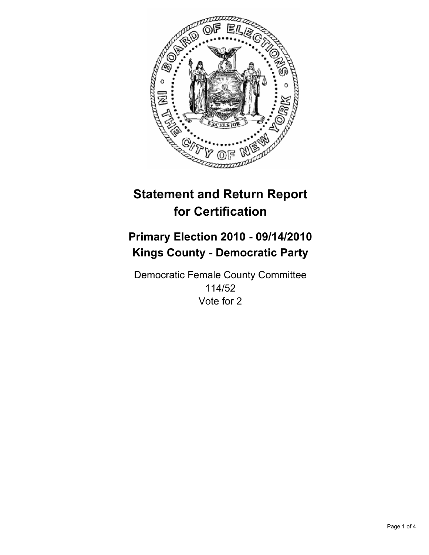

# **Primary Election 2010 - 09/14/2010 Kings County - Democratic Party**

Democratic Female County Committee 114/52 Vote for 2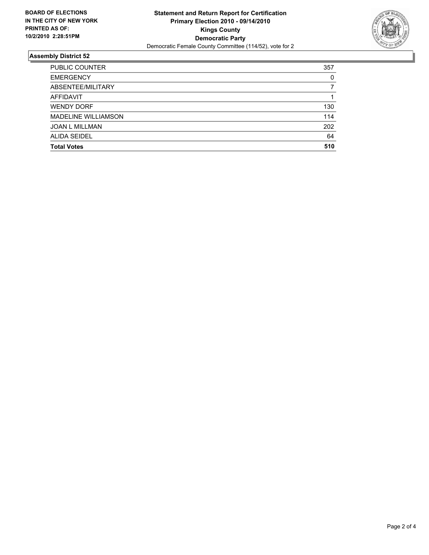

| <b>PUBLIC COUNTER</b> | 357 |
|-----------------------|-----|
| <b>EMERGENCY</b>      | 0   |
| ABSENTEE/MILITARY     | 7   |
| <b>AFFIDAVIT</b>      |     |
| <b>WENDY DORF</b>     | 130 |
| MADELINE WILLIAMSON   | 114 |
| <b>JOAN L MILLMAN</b> | 202 |
| ALIDA SEIDEL          | 64  |
| <b>Total Votes</b>    | 510 |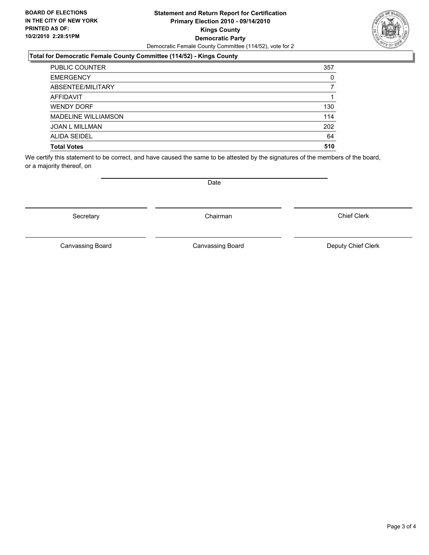#### **Statement and Return Report for Certification Primary Election 2010 - 09/14/2010 Kings County Democratic Party** Democratic Female County Committee (114/52), vote for 2

## **Total for Democratic Female County Committee (114/52) - Kings County**

| <b>PUBLIC COUNTER</b>      | 357 |
|----------------------------|-----|
| <b>EMERGENCY</b>           | 0   |
| ABSENTEE/MILITARY          |     |
| <b>AFFIDAVIT</b>           |     |
| <b>WENDY DORF</b>          | 130 |
| <b>MADELINE WILLIAMSON</b> | 114 |
| <b>JOAN L MILLMAN</b>      | 202 |
| <b>ALIDA SEIDEL</b>        | 64  |
| <b>Total Votes</b>         | 510 |

We certify this statement to be correct, and have caused the same to be attested by the signatures of the members of the board, or a majority thereof, on

Secretary **Chairman** 

Canvassing Board

Canvassing Board **Canvassing Board** Canvassing Board **Deputy Chief Clerk** 

Chief Clerk



Date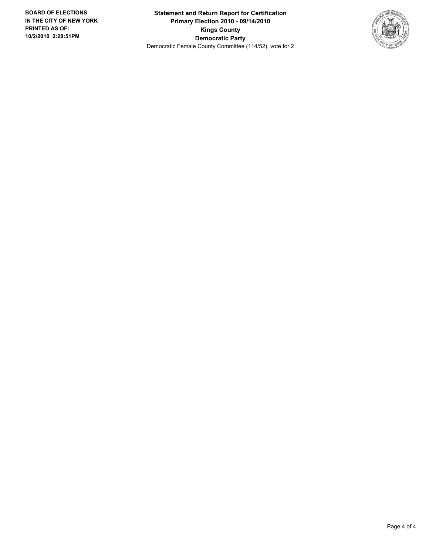**Statement and Return Report for Certification Primary Election 2010 - 09/14/2010 Kings County Democratic Party** Democratic Female County Committee (114/52), vote for 2

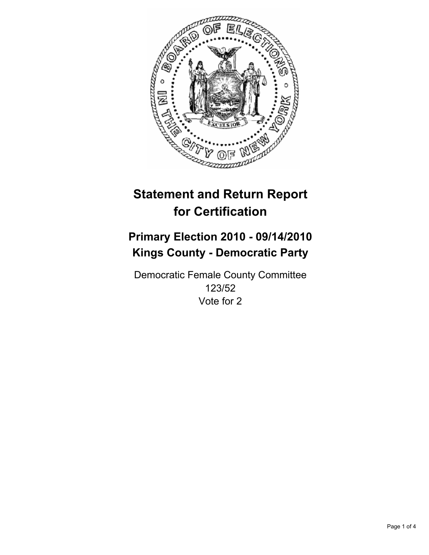

# **Primary Election 2010 - 09/14/2010 Kings County - Democratic Party**

Democratic Female County Committee 123/52 Vote for 2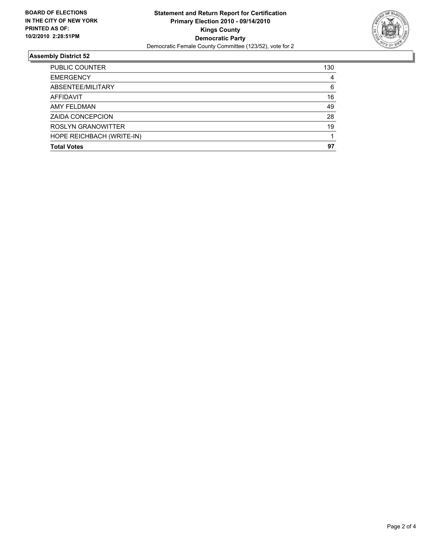

| PUBLIC COUNTER            | 130 |
|---------------------------|-----|
| <b>EMERGENCY</b>          | 4   |
| ABSENTEE/MILITARY         | 6   |
| <b>AFFIDAVIT</b>          | 16  |
| AMY FELDMAN               | 49  |
| <b>ZAIDA CONCEPCION</b>   | 28  |
| ROSLYN GRANOWITTER        | 19  |
| HOPE REICHBACH (WRITE-IN) |     |
| <b>Total Votes</b>        | 97  |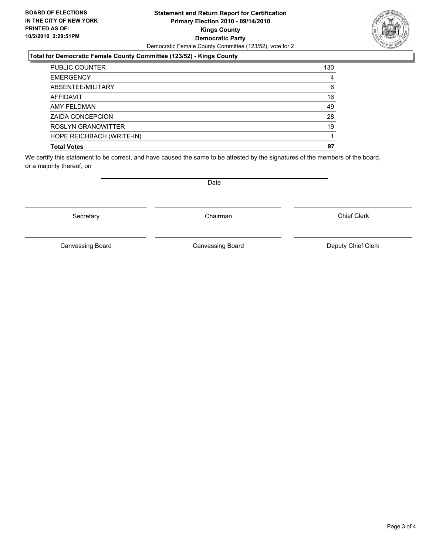#### **Statement and Return Report for Certification Primary Election 2010 - 09/14/2010 Kings County Democratic Party** Democratic Female County Committee (123/52), vote for 2

## **Total for Democratic Female County Committee (123/52) - Kings County**

| <b>PUBLIC COUNTER</b>     | 130 |
|---------------------------|-----|
| <b>EMERGENCY</b>          | 4   |
| ABSENTEE/MILITARY         | 6   |
| <b>AFFIDAVIT</b>          | 16  |
| <b>AMY FELDMAN</b>        | 49  |
| <b>ZAIDA CONCEPCION</b>   | 28  |
| ROSLYN GRANOWITTER        | 19  |
| HOPE REICHBACH (WRITE-IN) |     |
| <b>Total Votes</b>        | 97  |

We certify this statement to be correct, and have caused the same to be attested by the signatures of the members of the board, or a majority thereof, on

Secretary **Chairman** 

Date

Canvassing Board **Canvassing Board** Canvassing Board **Deputy Chief Clerk** 

Chief Clerk

Canvassing Board

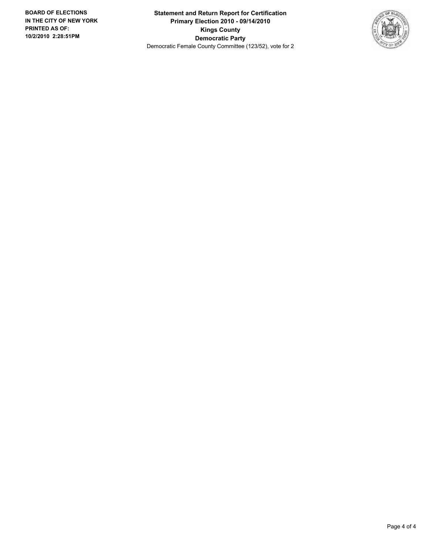**Statement and Return Report for Certification Primary Election 2010 - 09/14/2010 Kings County Democratic Party** Democratic Female County Committee (123/52), vote for 2

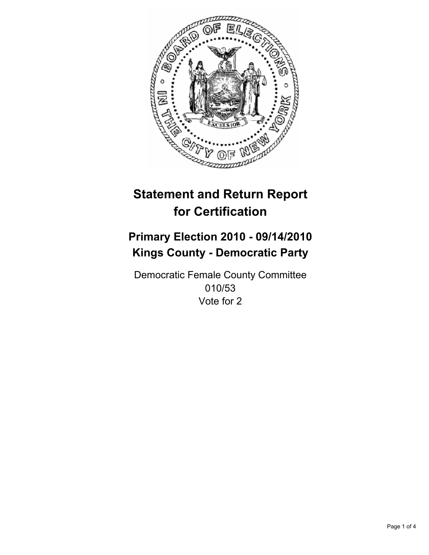

# **Primary Election 2010 - 09/14/2010 Kings County - Democratic Party**

Democratic Female County Committee 010/53 Vote for 2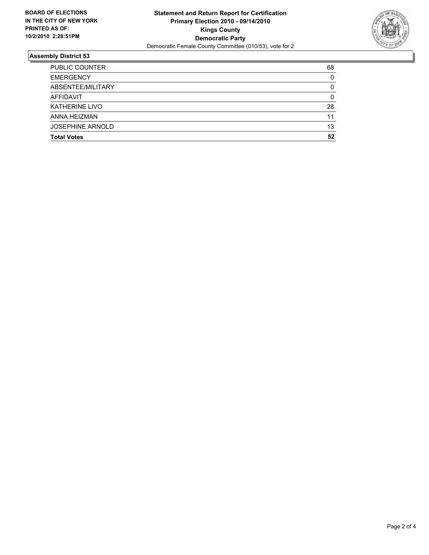

| <b>Total Votes</b>      | 52       |
|-------------------------|----------|
| <b>JOSEPHINE ARNOLD</b> | 13       |
| ANNA HEIZMAN            | 11       |
| <b>KATHERINE LIVO</b>   | 28       |
| <b>AFFIDAVIT</b>        | 0        |
| ABSENTEE/MILITARY       | 0        |
| <b>EMERGENCY</b>        | $\Omega$ |
| <b>PUBLIC COUNTER</b>   | 68       |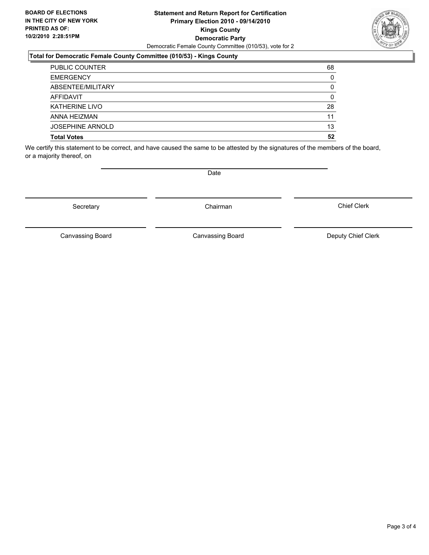#### **Statement and Return Report for Certification Primary Election 2010 - 09/14/2010 Kings County Democratic Party** Democratic Female County Committee (010/53), vote for 2

## **Total for Democratic Female County Committee (010/53) - Kings County**

| <b>PUBLIC COUNTER</b>   | 68 |
|-------------------------|----|
| <b>EMERGENCY</b>        | 0  |
| ABSENTEE/MILITARY       | 0  |
| AFFIDAVIT               | 0  |
| <b>KATHERINE LIVO</b>   | 28 |
| ANNA HEIZMAN            | 11 |
| <b>JOSEPHINE ARNOLD</b> | 13 |
| <b>Total Votes</b>      | 52 |

We certify this statement to be correct, and have caused the same to be attested by the signatures of the members of the board, or a majority thereof, on

Secretary **Chairman** 

Canvassing Board Canvassing Board Canvassing Canvassing Board Deputy Chief Clerk

Chief Clerk

Canvassing Board



**Date**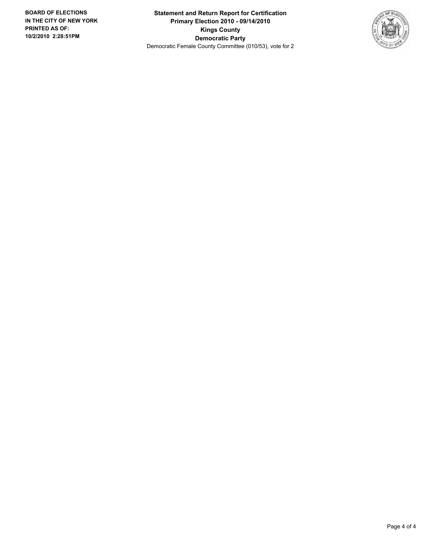**Statement and Return Report for Certification Primary Election 2010 - 09/14/2010 Kings County Democratic Party** Democratic Female County Committee (010/53), vote for 2

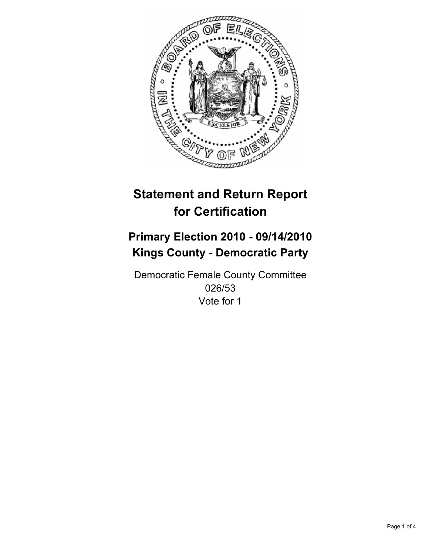

# **Primary Election 2010 - 09/14/2010 Kings County - Democratic Party**

Democratic Female County Committee 026/53 Vote for 1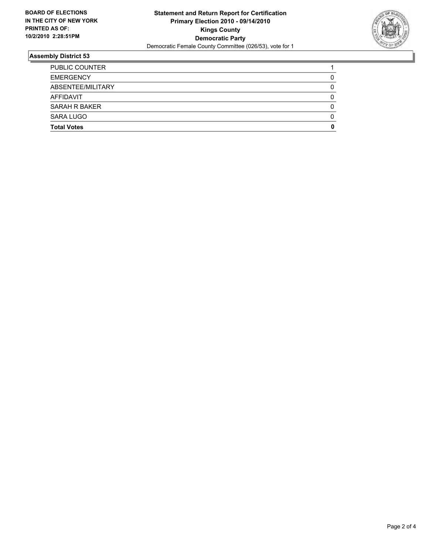

| <b>Total Votes</b>    | 0 |
|-----------------------|---|
| SARA LUGO             | 0 |
| SARAH R BAKER         | 0 |
| AFFIDAVIT             | 0 |
| ABSENTEE/MILITARY     | 0 |
| <b>EMERGENCY</b>      | 0 |
| <b>PUBLIC COUNTER</b> |   |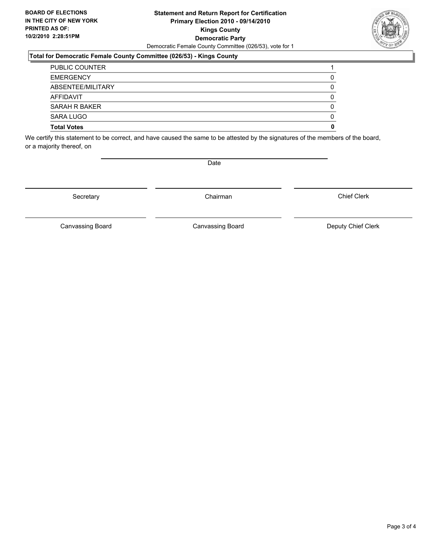#### **Statement and Return Report for Certification Primary Election 2010 - 09/14/2010 Kings County Democratic Party** Democratic Female County Committee (026/53), vote for 1

### **Total for Democratic Female County Committee (026/53) - Kings County**

| <b>Total Votes</b>    | 0        |
|-----------------------|----------|
| SARA LUGO             | 0        |
| SARAH R BAKER         | 0        |
| AFFIDAVIT             | $\Omega$ |
| ABSENTEE/MILITARY     | 0        |
| <b>EMERGENCY</b>      | 0        |
| <b>PUBLIC COUNTER</b> |          |

We certify this statement to be correct, and have caused the same to be attested by the signatures of the members of the board, or a majority thereof, on

Secretary **Chairman** 

Chief Clerk

Canvassing Board **Canvassing Board** Canvassing Board **Deputy Chief Clerk** 

Canvassing Board



Date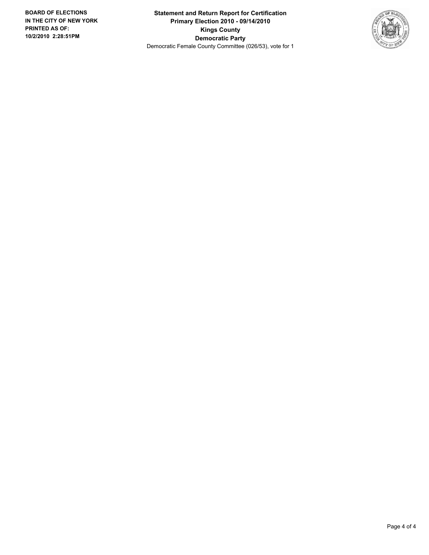**Statement and Return Report for Certification Primary Election 2010 - 09/14/2010 Kings County Democratic Party** Democratic Female County Committee (026/53), vote for 1

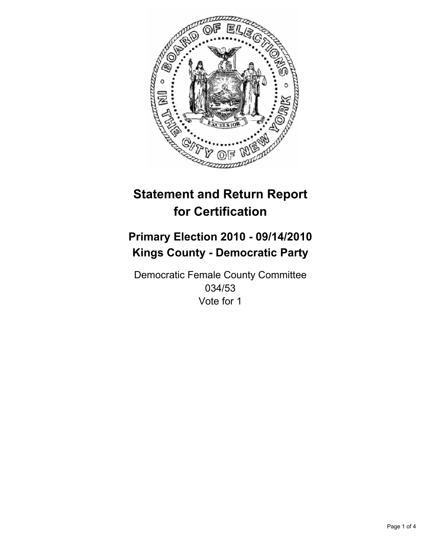

# **Primary Election 2010 - 09/14/2010 Kings County - Democratic Party**

Democratic Female County Committee 034/53 Vote for 1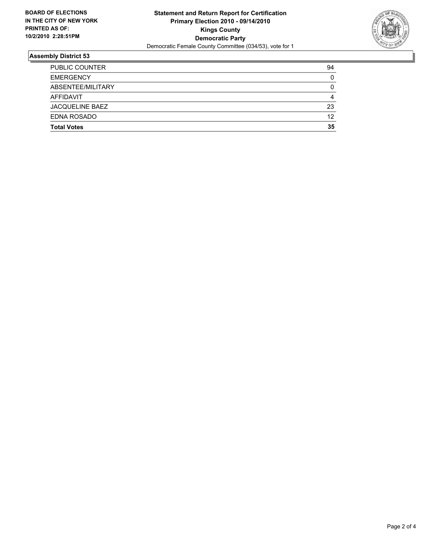

| <b>EMERGENCY</b>       | 0  |
|------------------------|----|
| ABSENTEE/MILITARY      | 0  |
| AFFIDAVIT              | 4  |
| <b>JACQUELINE BAEZ</b> | 23 |
| EDNA ROSADO            | 12 |
| <b>Total Votes</b>     | 35 |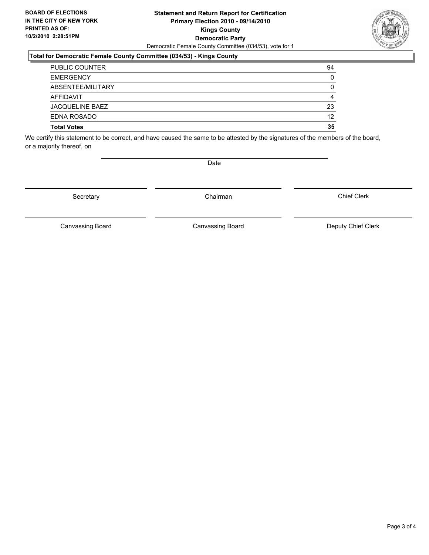#### **Statement and Return Report for Certification Primary Election 2010 - 09/14/2010 Kings County Democratic Party** Democratic Female County Committee (034/53), vote for 1

#### **Total for Democratic Female County Committee (034/53) - Kings County**

| <b>Total Votes</b>     | 35 |
|------------------------|----|
| EDNA ROSADO            | 12 |
| <b>JACQUELINE BAEZ</b> | 23 |
| AFFIDAVIT              | 4  |
| ABSENTEE/MILITARY      | 0  |
| <b>EMERGENCY</b>       | 0  |
| <b>PUBLIC COUNTER</b>  | 94 |

We certify this statement to be correct, and have caused the same to be attested by the signatures of the members of the board, or a majority thereof, on

Secretary **Chairman** 

Date

Canvassing Board

Canvassing Board **Canvassing Board** Canvassing Board **Deputy Chief Clerk** 

Chief Clerk

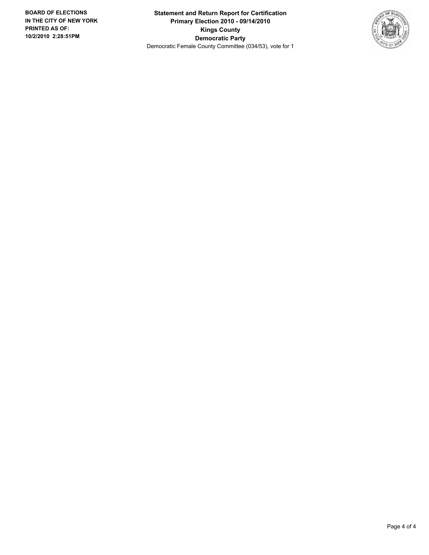**Statement and Return Report for Certification Primary Election 2010 - 09/14/2010 Kings County Democratic Party** Democratic Female County Committee (034/53), vote for 1

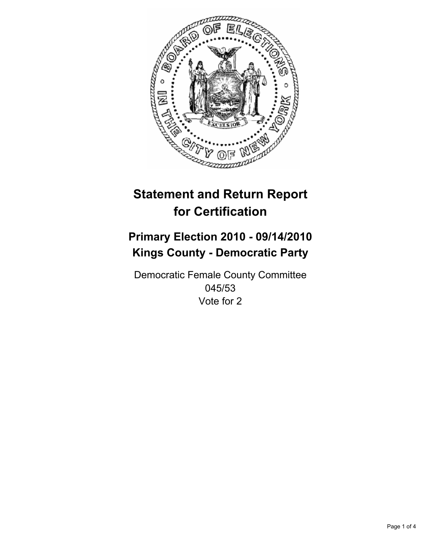

# **Primary Election 2010 - 09/14/2010 Kings County - Democratic Party**

Democratic Female County Committee 045/53 Vote for 2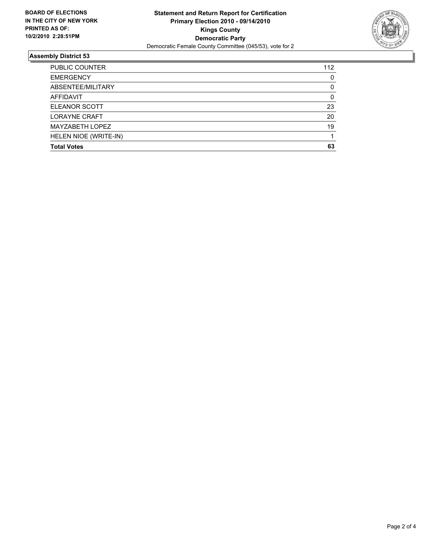

| <b>PUBLIC COUNTER</b> | 112 |
|-----------------------|-----|
| <b>EMERGENCY</b>      | 0   |
| ABSENTEE/MILITARY     | 0   |
| AFFIDAVIT             | 0   |
| ELEANOR SCOTT         | 23  |
| LORAYNE CRAFT         | 20  |
| MAYZABETH LOPEZ       | 19  |
| HELEN NIOE (WRITE-IN) |     |
| <b>Total Votes</b>    | 63  |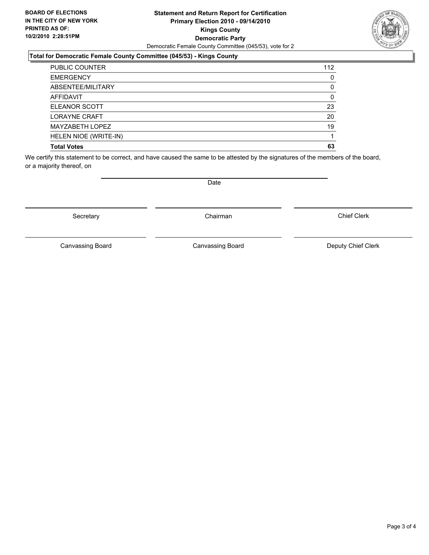#### **Statement and Return Report for Certification Primary Election 2010 - 09/14/2010 Kings County Democratic Party** Democratic Female County Committee (045/53), vote for 2

## **Total for Democratic Female County Committee (045/53) - Kings County**

| <b>PUBLIC COUNTER</b> | 112 |
|-----------------------|-----|
| <b>EMERGENCY</b>      | 0   |
| ABSENTEE/MILITARY     | 0   |
| <b>AFFIDAVIT</b>      | 0   |
| <b>ELEANOR SCOTT</b>  | 23  |
| <b>LORAYNE CRAFT</b>  | 20  |
| MAYZABETH LOPEZ       | 19  |
| HELEN NIOE (WRITE-IN) |     |
| <b>Total Votes</b>    | 63  |

We certify this statement to be correct, and have caused the same to be attested by the signatures of the members of the board, or a majority thereof, on

Secretary **Chairman** 

Canvassing Board

Chief Clerk



Date

Canvassing Board **Canvassing Board** Canvassing Board **Deputy Chief Clerk**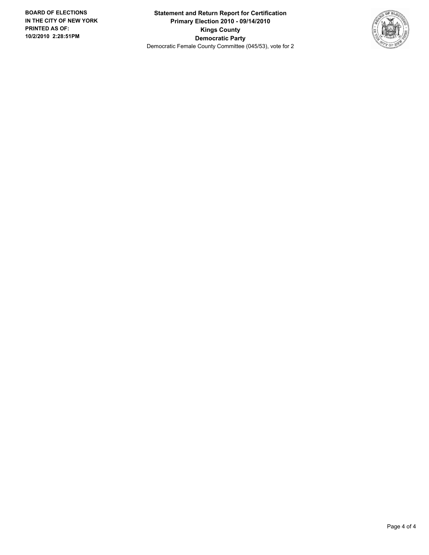**Statement and Return Report for Certification Primary Election 2010 - 09/14/2010 Kings County Democratic Party** Democratic Female County Committee (045/53), vote for 2

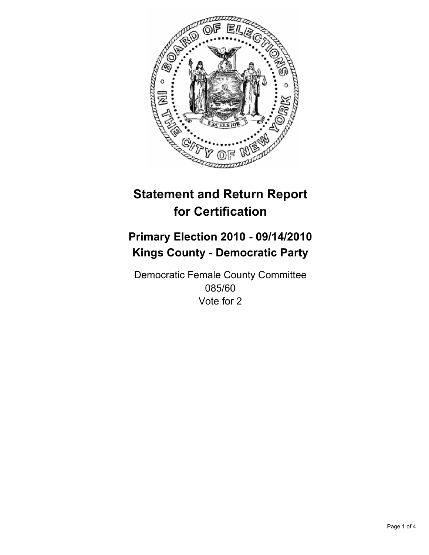

# **Primary Election 2010 - 09/14/2010 Kings County - Democratic Party**

Democratic Female County Committee 085/60 Vote for 2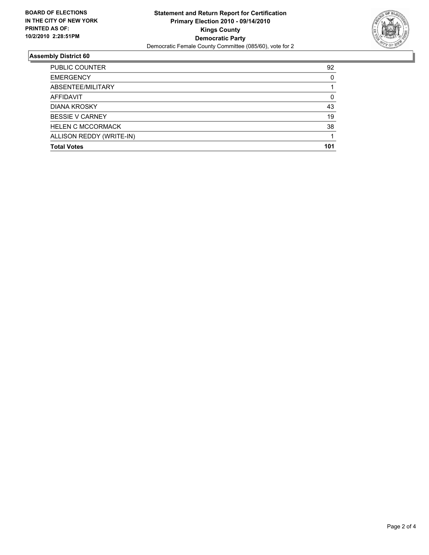

| <b>PUBLIC COUNTER</b>    | 92  |
|--------------------------|-----|
| <b>EMERGENCY</b>         | 0   |
| ABSENTEE/MILITARY        | 1   |
| <b>AFFIDAVIT</b>         | 0   |
| <b>DIANA KROSKY</b>      | 43  |
| <b>BESSIE V CARNEY</b>   | 19  |
| <b>HELEN C MCCORMACK</b> | 38  |
| ALLISON REDDY (WRITE-IN) |     |
| <b>Total Votes</b>       | 101 |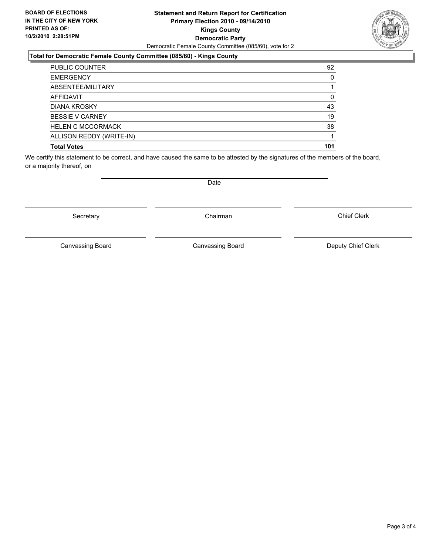#### **Statement and Return Report for Certification Primary Election 2010 - 09/14/2010 Kings County Democratic Party** Democratic Female County Committee (085/60), vote for 2

## **Total for Democratic Female County Committee (085/60) - Kings County**

| PUBLIC COUNTER           | 92  |
|--------------------------|-----|
| <b>EMERGENCY</b>         | 0   |
| ABSENTEE/MILITARY        |     |
| <b>AFFIDAVIT</b>         | 0   |
| <b>DIANA KROSKY</b>      | 43  |
| <b>BESSIE V CARNEY</b>   | 19  |
| <b>HELEN C MCCORMACK</b> | 38  |
| ALLISON REDDY (WRITE-IN) |     |
| <b>Total Votes</b>       | 101 |

We certify this statement to be correct, and have caused the same to be attested by the signatures of the members of the board, or a majority thereof, on

Secretary **Chairman** 

Canvassing Board

Canvassing Board **Canvassing Board** Canvassing Board **Deputy Chief Clerk** 

Chief Clerk

Page 3 of 4

Date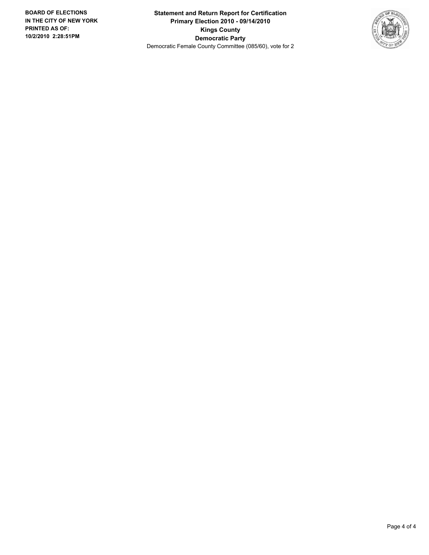**Statement and Return Report for Certification Primary Election 2010 - 09/14/2010 Kings County Democratic Party** Democratic Female County Committee (085/60), vote for 2

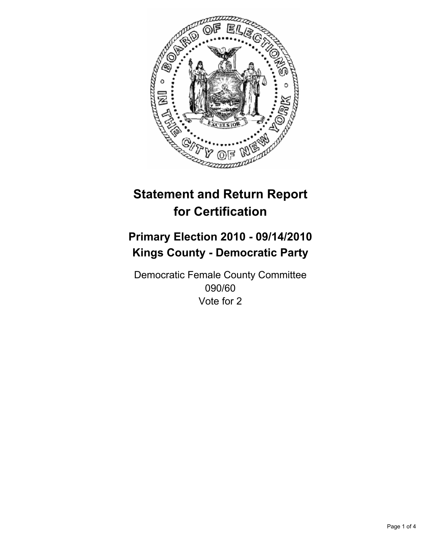

# **Primary Election 2010 - 09/14/2010 Kings County - Democratic Party**

Democratic Female County Committee 090/60 Vote for 2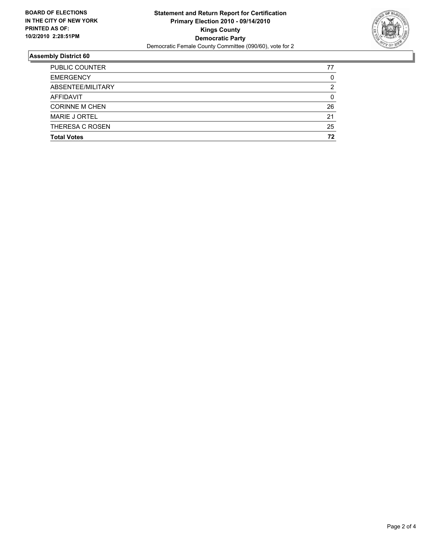

| <b>Total Votes</b>    | 72 |
|-----------------------|----|
| THERESA C ROSEN       | 25 |
| MARIE J ORTEL         | 21 |
| <b>CORINNE M CHEN</b> | 26 |
| <b>AFFIDAVIT</b>      | 0  |
| ABSENTEE/MILITARY     | 2  |
| <b>EMERGENCY</b>      | 0  |
| <b>PUBLIC COUNTER</b> | 77 |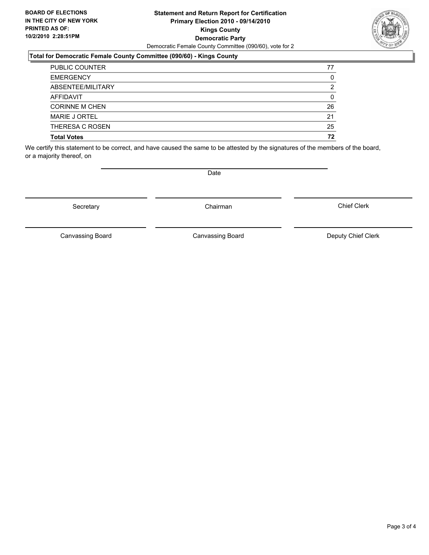#### **Statement and Return Report for Certification Primary Election 2010 - 09/14/2010 Kings County Democratic Party** Democratic Female County Committee (090/60), vote for 2

## **Total for Democratic Female County Committee (090/60) - Kings County**

| <b>PUBLIC COUNTER</b> | 77 |
|-----------------------|----|
| <b>EMERGENCY</b>      | 0  |
| ABSENTEE/MILITARY     | 2  |
| AFFIDAVIT             | 0  |
| <b>CORINNE M CHEN</b> | 26 |
| <b>MARIE J ORTEL</b>  | 21 |
| THERESA C ROSEN       | 25 |
| <b>Total Votes</b>    | 72 |

We certify this statement to be correct, and have caused the same to be attested by the signatures of the members of the board, or a majority thereof, on

Secretary **Chairman** 

Canvassing Board Canvassing Board Canvassing Canvassing Board Deputy Chief Clerk

Chief Clerk

Canvassing Board



**Date**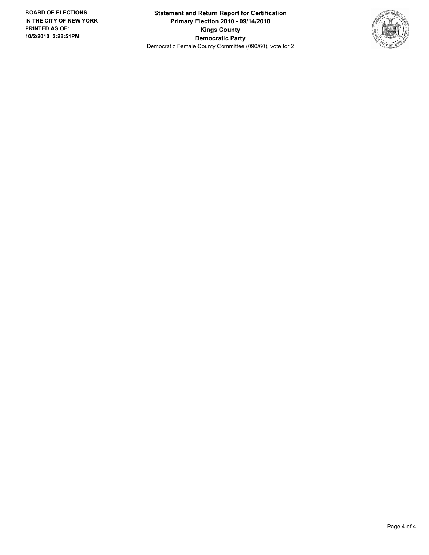**Statement and Return Report for Certification Primary Election 2010 - 09/14/2010 Kings County Democratic Party** Democratic Female County Committee (090/60), vote for 2

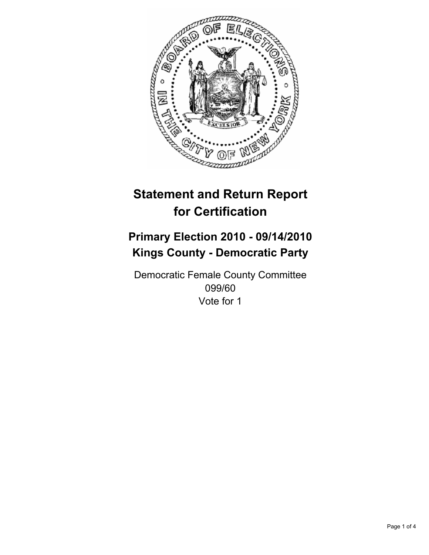

# **Primary Election 2010 - 09/14/2010 Kings County - Democratic Party**

Democratic Female County Committee 099/60 Vote for 1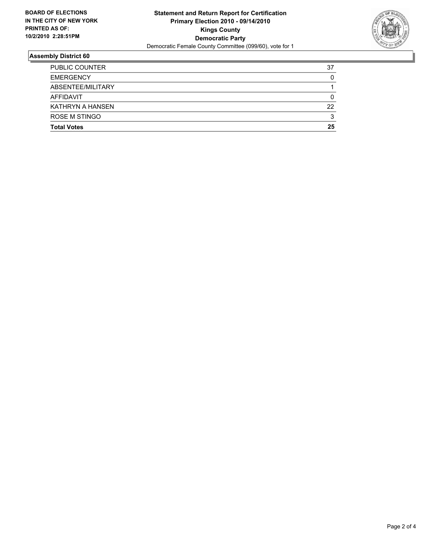

| <b>PUBLIC COUNTER</b> | 37 |
|-----------------------|----|
| <b>EMERGENCY</b>      | 0  |
| ABSENTEE/MILITARY     |    |
| AFFIDAVIT             | 0  |
| KATHRYN A HANSEN      | 22 |
| <b>ROSE M STINGO</b>  | 3  |
| <b>Total Votes</b>    | 25 |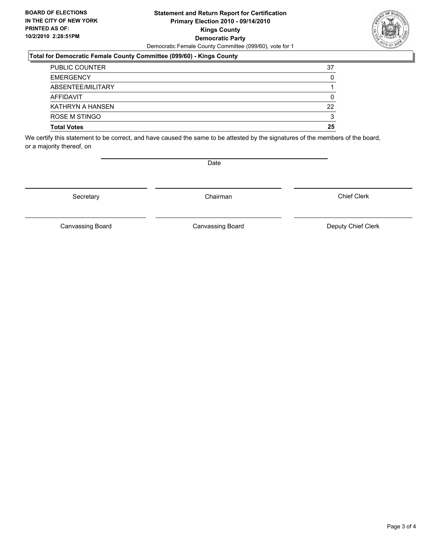#### **Statement and Return Report for Certification Primary Election 2010 - 09/14/2010 Kings County Democratic Party** Democratic Female County Committee (099/60), vote for 1

#### **Total for Democratic Female County Committee (099/60) - Kings County**

| <b>PUBLIC COUNTER</b> | 37 |
|-----------------------|----|
| <b>EMERGENCY</b>      | 0  |
| ABSENTEE/MILITARY     |    |
| AFFIDAVIT             | 0  |
| KATHRYN A HANSEN      | 22 |
| ROSE M STINGO         | 3  |
| <b>Total Votes</b>    | 25 |

We certify this statement to be correct, and have caused the same to be attested by the signatures of the members of the board, or a majority thereof, on

Secretary **Chairman** 

Canvassing Board

Canvassing Board **Canvassing Board** Canvassing Board **Deputy Chief Clerk** 

Chief Clerk

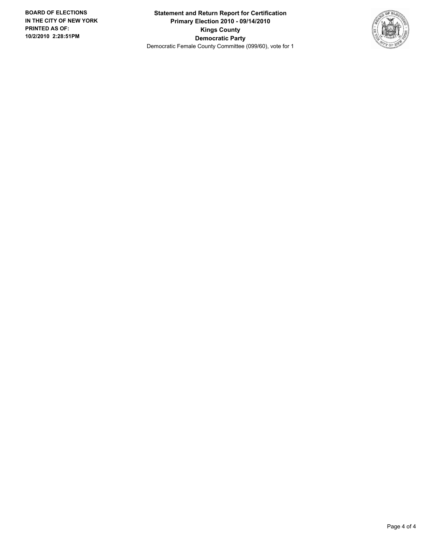**Statement and Return Report for Certification Primary Election 2010 - 09/14/2010 Kings County Democratic Party** Democratic Female County Committee (099/60), vote for 1

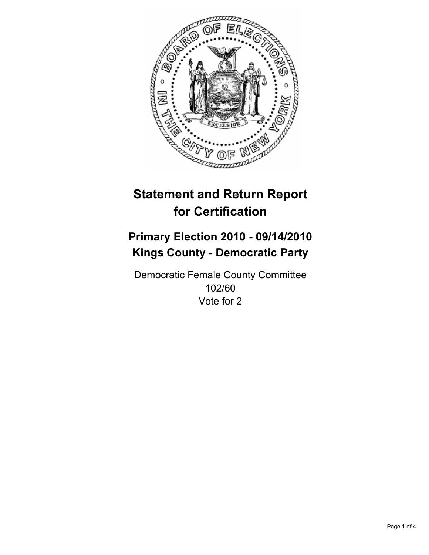

# **Primary Election 2010 - 09/14/2010 Kings County - Democratic Party**

Democratic Female County Committee 102/60 Vote for 2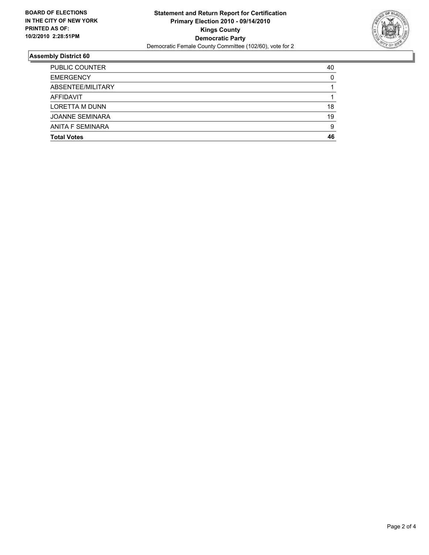

| <b>Total Votes</b>     | 46 |
|------------------------|----|
|                        |    |
| ANITA F SEMINARA       | 9  |
| <b>JOANNE SEMINARA</b> | 19 |
| <b>LORETTA M DUNN</b>  | 18 |
| <b>AFFIDAVIT</b>       |    |
| ABSENTEE/MILITARY      |    |
| <b>EMERGENCY</b>       | 0  |
| <b>PUBLIC COUNTER</b>  | 40 |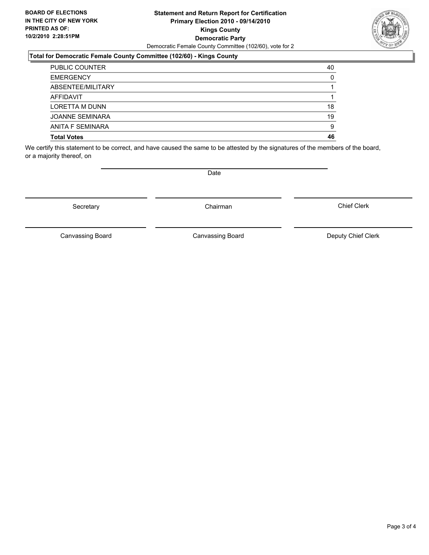#### **Statement and Return Report for Certification Primary Election 2010 - 09/14/2010 Kings County Democratic Party** Democratic Female County Committee (102/60), vote for 2

## **Total for Democratic Female County Committee (102/60) - Kings County**

| <b>PUBLIC COUNTER</b>  | 40 |
|------------------------|----|
| <b>EMERGENCY</b>       | 0  |
| ABSENTEE/MILITARY      |    |
| AFFIDAVIT              |    |
| <b>LORETTA M DUNN</b>  | 18 |
| <b>JOANNE SEMINARA</b> | 19 |
| ANITA F SEMINARA       | 9  |
| <b>Total Votes</b>     | 46 |

We certify this statement to be correct, and have caused the same to be attested by the signatures of the members of the board, or a majority thereof, on

Secretary **Chairman** 

Canvassing Board

Canvassing Board Canvassing Board Canvassing Canvassing Board Deputy Chief Clerk

Chief Clerk

Page 3 of 4

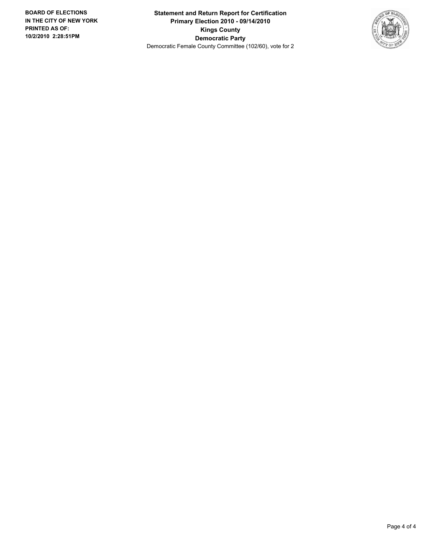**Statement and Return Report for Certification Primary Election 2010 - 09/14/2010 Kings County Democratic Party** Democratic Female County Committee (102/60), vote for 2

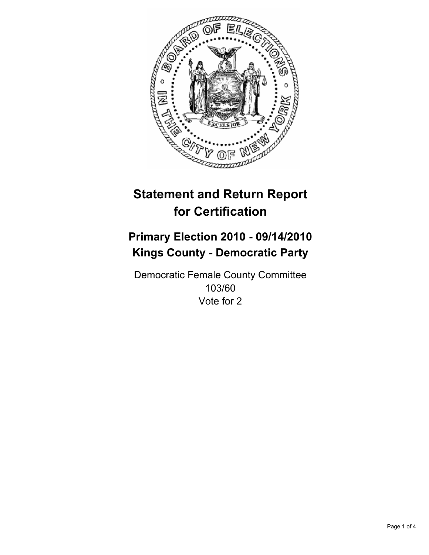

# **Primary Election 2010 - 09/14/2010 Kings County - Democratic Party**

Democratic Female County Committee 103/60 Vote for 2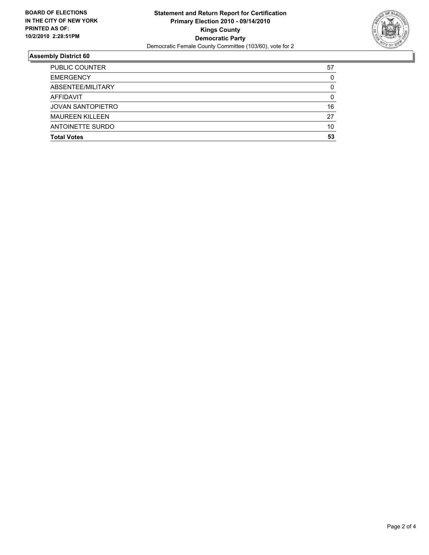

| <b>Total Votes</b>       | 53 |
|--------------------------|----|
| ANTOINETTE SURDO         | 10 |
| <b>MAUREEN KILLEEN</b>   | 27 |
| <b>JOVAN SANTOPIETRO</b> | 16 |
| <b>AFFIDAVIT</b>         | 0  |
| ABSENTEE/MILITARY        | 0  |
| <b>EMERGENCY</b>         | 0  |
| <b>PUBLIC COUNTER</b>    | 57 |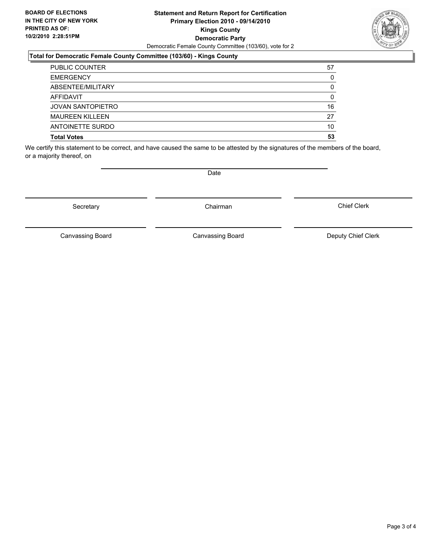#### **Statement and Return Report for Certification Primary Election 2010 - 09/14/2010 Kings County Democratic Party** Democratic Female County Committee (103/60), vote for 2

## **Total for Democratic Female County Committee (103/60) - Kings County**

| <b>PUBLIC COUNTER</b>    | 57 |
|--------------------------|----|
| <b>EMERGENCY</b>         | 0  |
| ABSENTEE/MILITARY        | 0  |
| AFFIDAVIT                | 0  |
| <b>JOVAN SANTOPIETRO</b> | 16 |
| <b>MAUREEN KILLEEN</b>   | 27 |
| ANTOINETTE SURDO         | 10 |
| <b>Total Votes</b>       | 53 |

We certify this statement to be correct, and have caused the same to be attested by the signatures of the members of the board, or a majority thereof, on

Secretary **Chairman** 

Canvassing Board

Canvassing Board Canvassing Board Canvassing Canvassing Board Deputy Chief Clerk

Chief Clerk

Page 3 of 4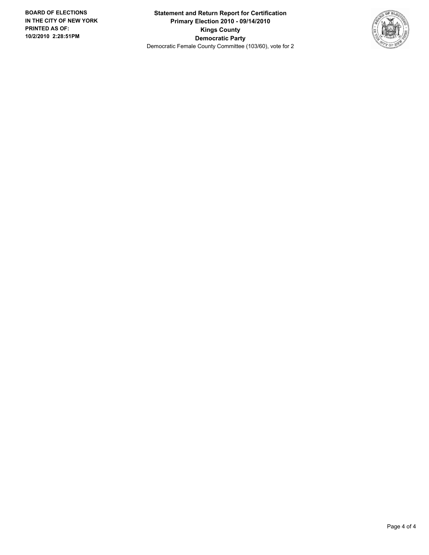**Statement and Return Report for Certification Primary Election 2010 - 09/14/2010 Kings County Democratic Party** Democratic Female County Committee (103/60), vote for 2

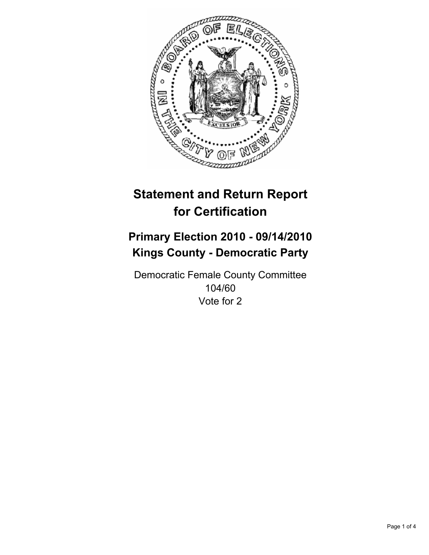

# **Primary Election 2010 - 09/14/2010 Kings County - Democratic Party**

Democratic Female County Committee 104/60 Vote for 2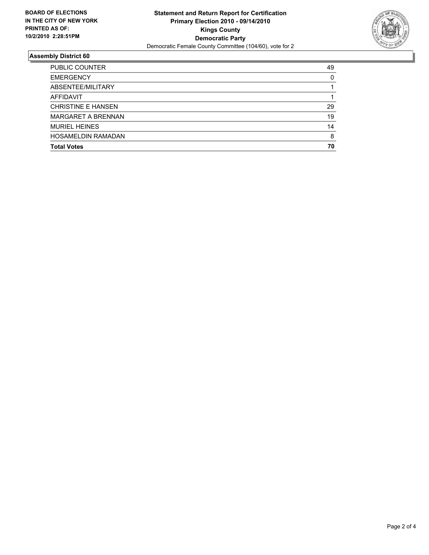

| <b>PUBLIC COUNTER</b>     | 49 |
|---------------------------|----|
| <b>EMERGENCY</b>          | 0  |
| ABSENTEE/MILITARY         |    |
| AFFIDAVIT                 |    |
| <b>CHRISTINE E HANSEN</b> | 29 |
| <b>MARGARET A BRENNAN</b> | 19 |
| <b>MURIEL HEINES</b>      | 14 |
| <b>HOSAMELDIN RAMADAN</b> | 8  |
| <b>Total Votes</b>        | 70 |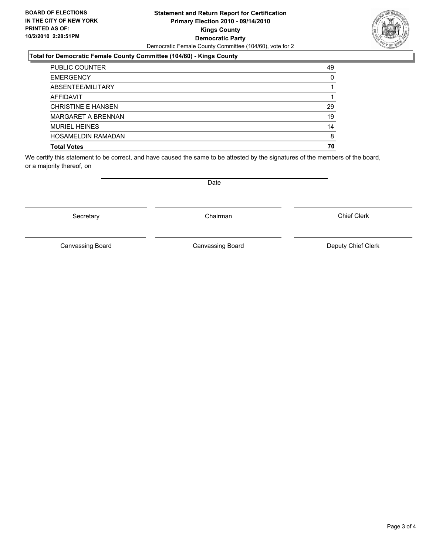#### **Statement and Return Report for Certification Primary Election 2010 - 09/14/2010 Kings County Democratic Party** Democratic Female County Committee (104/60), vote for 2

## **Total for Democratic Female County Committee (104/60) - Kings County**

| <b>PUBLIC COUNTER</b>     | 49 |
|---------------------------|----|
| <b>EMERGENCY</b>          | 0  |
| ABSENTEE/MILITARY         |    |
| <b>AFFIDAVIT</b>          |    |
| <b>CHRISTINE E HANSEN</b> | 29 |
| <b>MARGARET A BRENNAN</b> | 19 |
| <b>MURIEL HEINES</b>      | 14 |
| <b>HOSAMELDIN RAMADAN</b> | 8  |
| <b>Total Votes</b>        | 70 |

We certify this statement to be correct, and have caused the same to be attested by the signatures of the members of the board, or a majority thereof, on

Secretary **Chairman** 

Canvassing Board

Date

Canvassing Board **Canvassing Board** Canvassing Board **Deputy Chief Clerk** 

Chief Clerk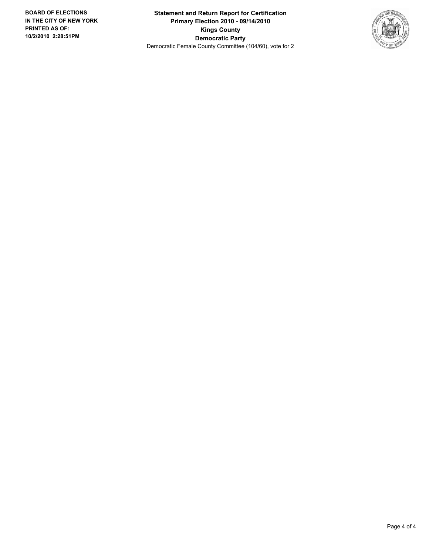**Statement and Return Report for Certification Primary Election 2010 - 09/14/2010 Kings County Democratic Party** Democratic Female County Committee (104/60), vote for 2

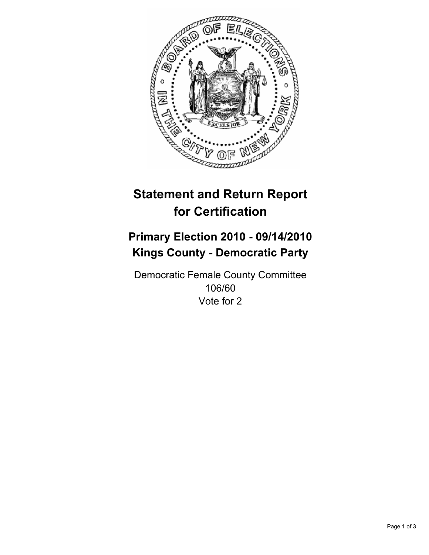

# **Primary Election 2010 - 09/14/2010 Kings County - Democratic Party**

Democratic Female County Committee 106/60 Vote for 2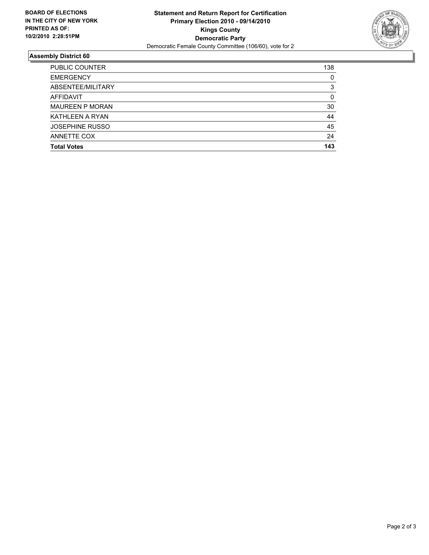

| <b>PUBLIC COUNTER</b>  | 138 |
|------------------------|-----|
| <b>EMERGENCY</b>       | 0   |
| ABSENTEE/MILITARY      | 3   |
| AFFIDAVIT              | 0   |
| <b>MAUREEN P MORAN</b> | 30  |
| KATHLEEN A RYAN        | 44  |
| <b>JOSEPHINE RUSSO</b> | 45  |
| ANNETTE COX            | 24  |
| <b>Total Votes</b>     | 143 |